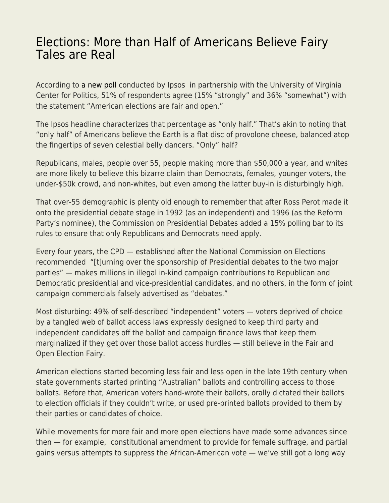## [Elections: More than Half of Americans Believe Fairy](https://everything-voluntary.com/elections-more-than-half-of-americans-believe-fairy-tales-are-real) [Tales are Real](https://everything-voluntary.com/elections-more-than-half-of-americans-believe-fairy-tales-are-real)

According to [a new poll](https://www.ipsos.com/en-us/news-polls/half-of-Americans-believe-elections-are-fair) conducted by Ipsos in partnership with the University of Virginia Center for Politics, 51% of respondents agree (15% "strongly" and 36% "somewhat") with the statement "American elections are fair and open."

The Ipsos headline characterizes that percentage as "only half." That's akin to noting that "only half" of Americans believe the Earth is a flat disc of provolone cheese, balanced atop the fingertips of seven celestial belly dancers. "Only" half?

Republicans, males, people over 55, people making more than \$50,000 a year, and whites are more likely to believe this bizarre claim than Democrats, females, younger voters, the under-\$50k crowd, and non-whites, but even among the latter buy-in is disturbingly high.

That over-55 demographic is plenty old enough to remember that after Ross Perot made it onto the presidential debate stage in 1992 (as an independent) and 1996 (as the Reform Party's nominee), the Commission on Presidential Debates added a 15% polling bar to its rules to ensure that only Republicans and Democrats need apply.

Every four years, the CPD — established after the National Commission on Elections recommended "[t]urning over the sponsorship of Presidential debates to the two major parties" — makes millions in illegal in-kind campaign contributions to Republican and Democratic presidential and vice-presidential candidates, and no others, in the form of joint campaign commercials falsely advertised as "debates."

Most disturbing: 49% of self-described "independent" voters — voters deprived of choice by a tangled web of ballot access laws expressly designed to keep third party and independent candidates off the ballot and campaign finance laws that keep them marginalized if they get over those ballot access hurdles — still believe in the Fair and Open Election Fairy.

American elections started becoming less fair and less open in the late 19th century when state governments started printing "Australian" ballots and controlling access to those ballots. Before that, American voters hand-wrote their ballots, orally dictated their ballots to election officials if they couldn't write, or used pre-printed ballots provided to them by their parties or candidates of choice.

While movements for more fair and more open elections have made some advances since then — for example, constitutional amendment to provide for female suffrage, and partial gains versus attempts to suppress the African-American vote — we've still got a long way